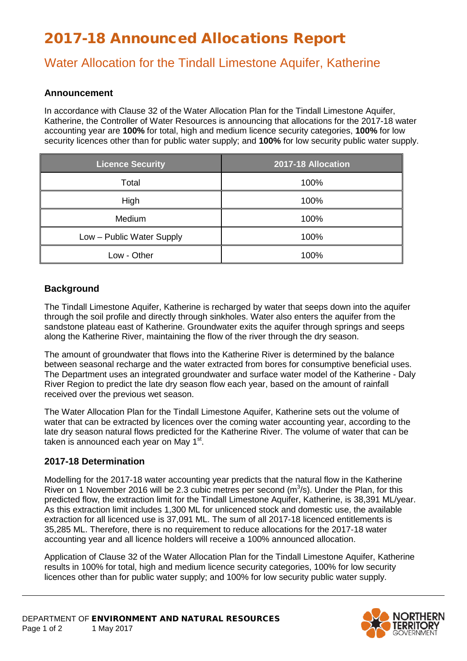# 2017-18 Announced Allocations Report

## Water Allocation for the Tindall Limestone Aquifer, Katherine

### **Announcement**

In accordance with Clause 32 of the Water Allocation Plan for the Tindall Limestone Aquifer, Katherine, the Controller of Water Resources is announcing that allocations for the 2017-18 water accounting year are **100%** for total, high and medium licence security categories, **100%** for low security licences other than for public water supply; and **100%** for low security public water supply.

| <b>Licence Security</b>   | 2017-18 Allocation |
|---------------------------|--------------------|
| Total                     | 100%               |
| High                      | 100%               |
| Medium                    | 100%               |
| Low - Public Water Supply | 100%               |
| Low - Other               | 100%               |

### **Background**

The Tindall Limestone Aquifer, Katherine is recharged by water that seeps down into the aquifer through the soil profile and directly through sinkholes. Water also enters the aquifer from the sandstone plateau east of Katherine. Groundwater exits the aquifer through springs and seeps along the Katherine River, maintaining the flow of the river through the dry season.

The amount of groundwater that flows into the Katherine River is determined by the balance between seasonal recharge and the water extracted from bores for consumptive beneficial uses. The Department uses an integrated groundwater and surface water model of the Katherine - Daly River Region to predict the late dry season flow each year, based on the amount of rainfall received over the previous wet season.

The Water Allocation Plan for the Tindall Limestone Aquifer, Katherine sets out the volume of water that can be extracted by licences over the coming water accounting year, according to the late dry season natural flows predicted for the Katherine River. The volume of water that can be taken is announced each year on May 1<sup>st</sup>.

### **2017-18 Determination**

Modelling for the 2017-18 water accounting year predicts that the natural flow in the Katherine River on 1 November 2016 will be 2.3 cubic metres per second  $(m<sup>3</sup>/s)$ . Under the Plan, for this predicted flow, the extraction limit for the Tindall Limestone Aquifer, Katherine, is 38,391 ML/year. As this extraction limit includes 1,300 ML for unlicenced stock and domestic use, the available extraction for all licenced use is 37,091 ML. The sum of all 2017-18 licenced entitlements is 35,285 ML. Therefore, there is no requirement to reduce allocations for the 2017-18 water accounting year and all licence holders will receive a 100% announced allocation.

Application of Clause 32 of the Water Allocation Plan for the Tindall Limestone Aquifer, Katherine results in 100% for total, high and medium licence security categories, 100% for low security licences other than for public water supply; and 100% for low security public water supply.